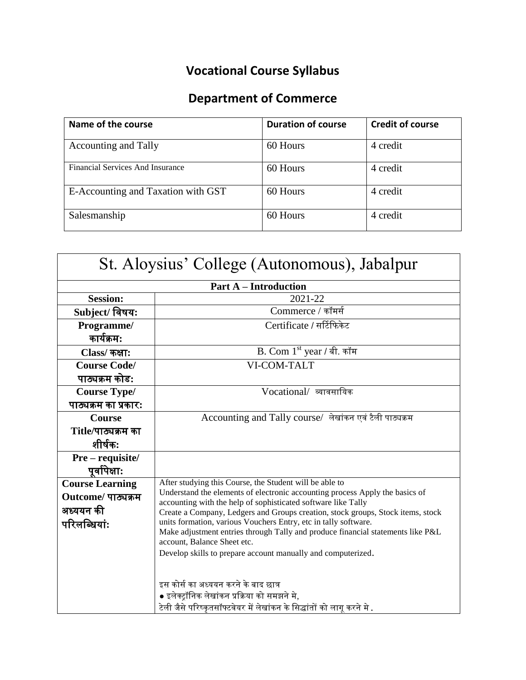## **Vocational Course Syllabus**

## **Department of Commerce**

| Name of the course                 | <b>Duration of course</b> | <b>Credit of course</b> |
|------------------------------------|---------------------------|-------------------------|
| <b>Accounting and Tally</b>        | 60 Hours                  | 4 credit                |
| Financial Services And Insurance   | 60 Hours                  | 4 credit                |
| E-Accounting and Taxation with GST | 60 Hours                  | 4 credit                |
| Salesmanship                       | 60 Hours                  | 4 credit                |

| St. Aloysius' College (Autonomous), Jabalpur |                                                                                                                                               |  |  |
|----------------------------------------------|-----------------------------------------------------------------------------------------------------------------------------------------------|--|--|
|                                              | <b>Part A – Introduction</b>                                                                                                                  |  |  |
| <b>Session:</b>                              | 2021-22                                                                                                                                       |  |  |
| Subject/ विषय:                               | Commerce / कॉमर्स                                                                                                                             |  |  |
| Programme/                                   | Certificate / सर्टिफिकेट                                                                                                                      |  |  |
| कार्यक्रम:                                   |                                                                                                                                               |  |  |
| Class/ कक्षा:                                | $\overline{B}$ . Com 1st year / बी. कॉम                                                                                                       |  |  |
| <b>Course Code/</b>                          | VI-COM-TALT                                                                                                                                   |  |  |
| पाठ्यक्रम कोड:                               |                                                                                                                                               |  |  |
| <b>Course Type/</b>                          | Vocational/ व्यावसायिक                                                                                                                        |  |  |
| पाठ्यक्रम का प्रकार:                         |                                                                                                                                               |  |  |
| <b>Course</b>                                | Accounting and Tally course/ लेखांकन एवं टैली पाठ्यक्रम                                                                                       |  |  |
| Title/पाठ्यक्रम का                           |                                                                                                                                               |  |  |
| शीर्षक:                                      |                                                                                                                                               |  |  |
| Pre - requisite/                             |                                                                                                                                               |  |  |
| पूर्वापेक्षाः                                |                                                                                                                                               |  |  |
| <b>Course Learning</b>                       | After studying this Course, the Student will be able to                                                                                       |  |  |
| Outcome/ पाठ्यक्रम                           | Understand the elements of electronic accounting process Apply the basics of<br>accounting with the help of sophisticated software like Tally |  |  |
| अध्ययन की                                    | Create a Company, Ledgers and Groups creation, stock groups, Stock items, stock                                                               |  |  |
| परिलब्धियां:                                 | units formation, various Vouchers Entry, etc in tally software.                                                                               |  |  |
|                                              | Make adjustment entries through Tally and produce financial statements like P&L<br>account, Balance Sheet etc.                                |  |  |
|                                              | Develop skills to prepare account manually and computerized.                                                                                  |  |  |
|                                              |                                                                                                                                               |  |  |
|                                              | इस कोर्स का अध्ययन करने के बाद छात्र                                                                                                          |  |  |
|                                              | ● इलेक्ट्रॉनिक लेखांकन प्रक्रिया को समझने मे,                                                                                                 |  |  |
|                                              | टेली जैसे परिष्कृतसॉफ्टवेयर में लेखांकन के सिद्धांतों को लागू करने मे .                                                                       |  |  |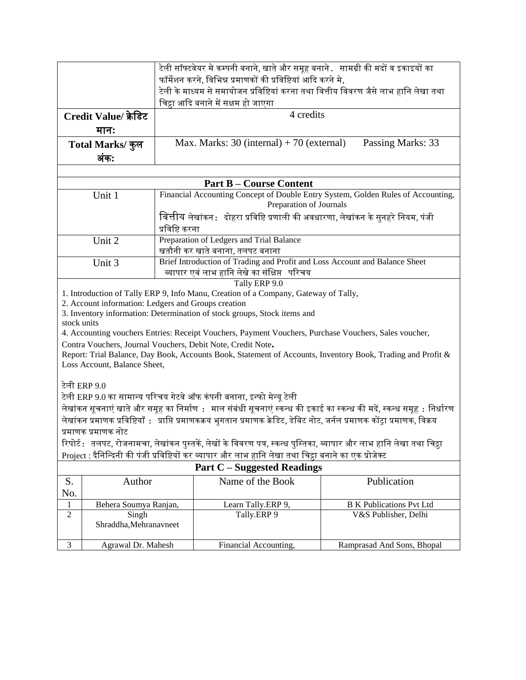|                                                                                                                                              | टेली सॉफ्टवेयर मे कम्पनी बनाने, खाते और समूह बनाने . सामग्री की मदों व इकाइयों का     |                                                                                      |                                                                                                                              |                                                                                                                         |
|----------------------------------------------------------------------------------------------------------------------------------------------|---------------------------------------------------------------------------------------|--------------------------------------------------------------------------------------|------------------------------------------------------------------------------------------------------------------------------|-------------------------------------------------------------------------------------------------------------------------|
|                                                                                                                                              |                                                                                       | फॉर्मेशन करने, विभिन्न प्रमाणकों की प्रविष्टियां आदि करने मे,                        |                                                                                                                              |                                                                                                                         |
|                                                                                                                                              |                                                                                       | टेली के माध्यम से समायोजन प्रविष्टियां करना तथा वित्तीय विवरण जैसे लाभ हानि लेखा तथा |                                                                                                                              |                                                                                                                         |
|                                                                                                                                              |                                                                                       | चिट्ठा आदि बनाने में सक्षम हो जाएगा                                                  |                                                                                                                              |                                                                                                                         |
|                                                                                                                                              | Credit Value/ क्रेडिट                                                                 |                                                                                      | 4 credits                                                                                                                    |                                                                                                                         |
|                                                                                                                                              | मान:                                                                                  |                                                                                      |                                                                                                                              |                                                                                                                         |
|                                                                                                                                              | Total Marks/ कुल                                                                      |                                                                                      | Max. Marks: $30$ (internal) + 70 (external)                                                                                  | Passing Marks: 33                                                                                                       |
|                                                                                                                                              | अंक:                                                                                  |                                                                                      |                                                                                                                              |                                                                                                                         |
|                                                                                                                                              |                                                                                       |                                                                                      |                                                                                                                              |                                                                                                                         |
|                                                                                                                                              |                                                                                       |                                                                                      | <b>Part B – Course Content</b>                                                                                               |                                                                                                                         |
|                                                                                                                                              | Unit 1                                                                                |                                                                                      | Preparation of Journals                                                                                                      | Financial Accounting Concept of Double Entry System, Golden Rules of Accounting,                                        |
|                                                                                                                                              |                                                                                       |                                                                                      | वित्तीय लेखांकन :   दोहरा प्रविष्टि प्रणाली की अवधारणा, लेखांकन के सुनहरे नियम, पंजी                                         |                                                                                                                         |
|                                                                                                                                              |                                                                                       | प्रविष्टि करना                                                                       |                                                                                                                              |                                                                                                                         |
|                                                                                                                                              | Unit 2                                                                                |                                                                                      | Preparation of Ledgers and Trial Balance                                                                                     |                                                                                                                         |
|                                                                                                                                              |                                                                                       |                                                                                      | खतौनी कर खाते बनाना, तलपट बनाना                                                                                              |                                                                                                                         |
|                                                                                                                                              | Unit 3                                                                                |                                                                                      | Brief Introduction of Trading and Profit and Loss Account and Balance Sheet                                                  |                                                                                                                         |
|                                                                                                                                              | व्यापार एवं लाभ हानि लेखे का संक्षिप्त परिचय                                          |                                                                                      |                                                                                                                              |                                                                                                                         |
|                                                                                                                                              |                                                                                       |                                                                                      | Tally ERP 9.0<br>1. Introduction of Tally ERP 9, Info Manu, Creation of a Company, Gateway of Tally,                         |                                                                                                                         |
|                                                                                                                                              | 2. Account information: Ledgers and Groups creation                                   |                                                                                      |                                                                                                                              |                                                                                                                         |
|                                                                                                                                              |                                                                                       |                                                                                      | 3. Inventory information: Determination of stock groups, Stock items and                                                     |                                                                                                                         |
| stock units                                                                                                                                  |                                                                                       |                                                                                      |                                                                                                                              |                                                                                                                         |
| 4. Accounting vouchers Entries: Receipt Vouchers, Payment Vouchers, Purchase Vouchers, Sales voucher,                                        |                                                                                       |                                                                                      |                                                                                                                              |                                                                                                                         |
|                                                                                                                                              | Contra Vouchers, Journal Vouchers, Debit Note, Credit Note.                           |                                                                                      |                                                                                                                              |                                                                                                                         |
| Report: Trial Balance, Day Book, Accounts Book, Statement of Accounts, Inventory Book, Trading and Profit &<br>Loss Account, Balance Sheet,  |                                                                                       |                                                                                      |                                                                                                                              |                                                                                                                         |
|                                                                                                                                              |                                                                                       |                                                                                      |                                                                                                                              |                                                                                                                         |
|                                                                                                                                              | टेली ERP 9.0<br>टेली ERP 9.0 का सामान्य परिचय गेटवे ऑफ कंपनी बनाना, इन्फो मेन्यू टेली |                                                                                      |                                                                                                                              |                                                                                                                         |
|                                                                                                                                              |                                                                                       |                                                                                      |                                                                                                                              |                                                                                                                         |
|                                                                                                                                              |                                                                                       |                                                                                      |                                                                                                                              | लेखांकन सूचनाएं खाते और समूह का निर्माण :   माल संबंधी सूचनाएं स्कन्ध की इकाई का स्कन्ध की मदें, स्कन्ध समूह : निर्धारण |
|                                                                                                                                              | प्रमाणक प्रमाणक नोट                                                                   |                                                                                      | लेखांकन प्रमाणक प्रविष्टियाँ : प्राप्ति प्रमाणकक्रय भुगतान प्रमाणक क्रेडिट, डेबिट नोट, जर्नल प्रमाणक कोंट्रा प्रमाणक, विक्रय |                                                                                                                         |
|                                                                                                                                              |                                                                                       |                                                                                      | रिपोर्ट∶ तलपट, रोजनामचा, लेखांकन पुस्तकें, लेखों के विवरण पत्र, स्कन्ध पुस्तिका, व्यापार और लाभ हानि लेखा तथा चिट्रा         |                                                                                                                         |
|                                                                                                                                              |                                                                                       |                                                                                      |                                                                                                                              |                                                                                                                         |
| Project : दैनिन्दिनी की पंजी प्रविष्टियों कर व्यापार और लाभ हानि लेखा तथा चिट्ठा बनाने का एक प्रोजेक्ट<br><b>Part C - Suggested Readings</b> |                                                                                       |                                                                                      |                                                                                                                              |                                                                                                                         |
|                                                                                                                                              |                                                                                       |                                                                                      |                                                                                                                              |                                                                                                                         |
| S.<br>No.                                                                                                                                    | Author                                                                                |                                                                                      | Name of the Book                                                                                                             | Publication                                                                                                             |
| $\,1$                                                                                                                                        | Behera Soumya Ranjan,                                                                 |                                                                                      | Learn Tally.ERP 9,                                                                                                           | <b>B K Publications Pvt Ltd</b>                                                                                         |
| $\sqrt{2}$                                                                                                                                   | Singh                                                                                 |                                                                                      | Tally.ERP 9                                                                                                                  | V&S Publisher, Delhi                                                                                                    |
|                                                                                                                                              | Shraddha, Mehranavneet                                                                |                                                                                      |                                                                                                                              |                                                                                                                         |
| $\mathfrak{Z}$                                                                                                                               | Agrawal Dr. Mahesh                                                                    |                                                                                      | Financial Accounting,                                                                                                        | Ramprasad And Sons, Bhopal                                                                                              |
|                                                                                                                                              |                                                                                       |                                                                                      |                                                                                                                              |                                                                                                                         |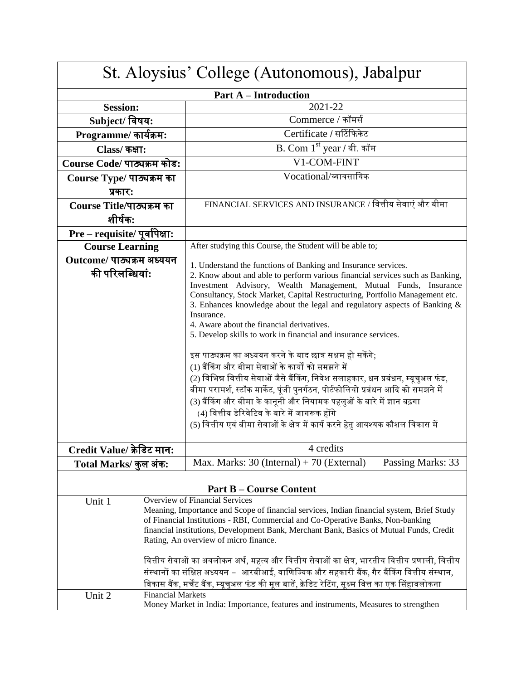| St. Aloysius' College (Autonomous), Jabalpur |                                       |                                                                                                                                                                            |  |
|----------------------------------------------|---------------------------------------|----------------------------------------------------------------------------------------------------------------------------------------------------------------------------|--|
| <b>Part A – Introduction</b>                 |                                       |                                                                                                                                                                            |  |
| <b>Session:</b>                              |                                       | 2021-22                                                                                                                                                                    |  |
| Subject/ विषय:                               |                                       | Commerce / कॉमर्स                                                                                                                                                          |  |
| Programme/ कार्यक्रम:                        |                                       | Certificate / सर्टिफिकेट                                                                                                                                                   |  |
| Class/ कक्षा:                                |                                       | B. Com 1 <sup>st</sup> year / बी. कॉम                                                                                                                                      |  |
| Course Code/ पाठ्यक्रम कोड:                  |                                       | V1-COM-FINT                                                                                                                                                                |  |
| Course Type/ पाठ्यक्रम का                    |                                       | Vocational/व्यावसायिक                                                                                                                                                      |  |
| प्रकार:                                      |                                       |                                                                                                                                                                            |  |
| Course Title/पाठ्यक्रम का                    |                                       | FINANCIAL SERVICES AND INSURANCE / वित्तीय सेवाएं और बीमा                                                                                                                  |  |
| शीर्षक:                                      |                                       |                                                                                                                                                                            |  |
| Pre - requisite/ पूर्वापेक्षा:               |                                       |                                                                                                                                                                            |  |
| <b>Course Learning</b>                       |                                       | After studying this Course, the Student will be able to;                                                                                                                   |  |
| Outcome/ पाठ्यक्रम अध्ययन                    |                                       | 1. Understand the functions of Banking and Insurance services.                                                                                                             |  |
| की परिलब्धियां:                              |                                       | 2. Know about and able to perform various financial services such as Banking,                                                                                              |  |
|                                              |                                       | Investment Advisory, Wealth Management, Mutual Funds, Insurance                                                                                                            |  |
|                                              |                                       | Consultancy, Stock Market, Capital Restructuring, Portfolio Management etc.                                                                                                |  |
|                                              |                                       | 3. Enhances knowledge about the legal and regulatory aspects of Banking $\&$<br>Insurance.                                                                                 |  |
|                                              |                                       | 4. Aware about the financial derivatives.                                                                                                                                  |  |
|                                              |                                       | 5. Develop skills to work in financial and insurance services.                                                                                                             |  |
|                                              |                                       |                                                                                                                                                                            |  |
|                                              |                                       | इस पाठ्यक्रम का अध्ययन करने के बाद छात्र सक्षम हो सकेंगे;<br>(1) बैंकिंग और बीमा सेवाओं के कार्यों को समझने में                                                            |  |
|                                              |                                       |                                                                                                                                                                            |  |
|                                              |                                       | (2) विभिन्न वित्तीय सेवाओं जैसे बैंकिंग, निवेश सलाहकार, धन प्रबंधन, म्यूचुअल फंड,                                                                                          |  |
|                                              |                                       | बीमा परामर्श, स्टॉक मार्केट, पूंजी पुनर्गठन, पोर्टफोलियो प्रबंधन आदि को समझने में                                                                                          |  |
|                                              |                                       | (3) बैंकिंग और बीमा के कानूनी और नियामक पहलुओं के बारे में ज्ञान बढ़गा<br>(4) वित्तीय डेरिवेटिव के बारे में जागरूक होंगे                                                   |  |
|                                              |                                       | (5) वित्तीय एवं बीमा सेवाओं के क्षेत्र में कार्य करने हेतु आवश्यक कौशल विकास में                                                                                           |  |
|                                              |                                       |                                                                                                                                                                            |  |
| Credit Value/ क्रेडिट मान:                   |                                       | 4 credits                                                                                                                                                                  |  |
| Total Marks/ कुल अंक:                        |                                       | Max. Marks: $30$ (Internal) + $70$ (External)<br>Passing Marks: 33                                                                                                         |  |
|                                              |                                       |                                                                                                                                                                            |  |
|                                              |                                       | <b>Part B – Course Content</b>                                                                                                                                             |  |
| Unit 1                                       |                                       | <b>Overview of Financial Services</b>                                                                                                                                      |  |
|                                              |                                       | Meaning, Importance and Scope of financial services, Indian financial system, Brief Study                                                                                  |  |
|                                              |                                       | of Financial Institutions - RBI, Commercial and Co-Operative Banks, Non-banking<br>financial institutions, Development Bank, Merchant Bank, Basics of Mutual Funds, Credit |  |
|                                              | Rating, An overview of micro finance. |                                                                                                                                                                            |  |
|                                              |                                       |                                                                                                                                                                            |  |
|                                              |                                       | वित्तीय सेवाओं का अवलोकन अर्थ, महत्व और वित्तीय सेवाओं का क्षेत्र, भारतीय वित्तीय प्रणाली, वित्तीय                                                                         |  |
|                                              |                                       | संस्थानों का संक्षिप्त अध्ययन – आरबीआई, वाणिज्यिक और सहकारी बैंक, गैर बैंकिंग वित्तीय संस्थान,                                                                             |  |
|                                              | <b>Financial Markets</b>              | विकास बैंक, मर्चेंट बैंक, म्यूचुअल फंड की मूल बातें, क्रेडिट रेटिंग, सूक्ष्म वित्त का एक सिंहावलोकना                                                                       |  |
| Unit 2                                       |                                       | Money Market in India: Importance, features and instruments, Measures to strengthen                                                                                        |  |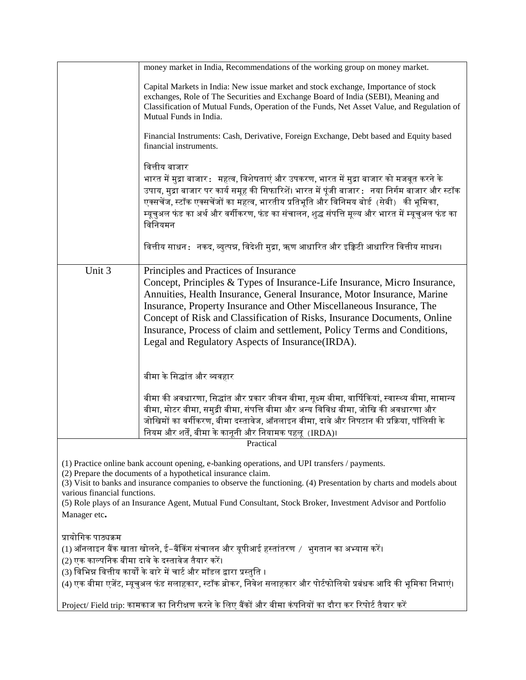| Capital Markets in India: New issue market and stock exchange, Importance of stock<br>exchanges, Role of The Securities and Exchange Board of India (SEBI), Meaning and<br>Classification of Mutual Funds, Operation of the Funds, Net Asset Value, and Regulation of<br>Mutual Funds in India.<br>Financial Instruments: Cash, Derivative, Foreign Exchange, Debt based and Equity based<br>financial instruments.<br>वित्तीय बाजार<br>भारत में मुद्रा बाजार $\colon$ महत्व, विशेषताएं और उपकरण, भारत में मुद्रा बाजार को मजबूत करने के |  |  |  |
|------------------------------------------------------------------------------------------------------------------------------------------------------------------------------------------------------------------------------------------------------------------------------------------------------------------------------------------------------------------------------------------------------------------------------------------------------------------------------------------------------------------------------------------|--|--|--|
|                                                                                                                                                                                                                                                                                                                                                                                                                                                                                                                                          |  |  |  |
|                                                                                                                                                                                                                                                                                                                                                                                                                                                                                                                                          |  |  |  |
| उपाय, मुद्रा बाजार पर कार्य समूह की सिफारिशें। भारत में पूंजी बाजार :   नया निर्गम बाजार और स्टॉक<br>एक्सचेंज, स्टॉक एक्सचेंजों का महत्व, भारतीय प्रतिभूति और विनिमय बोर्ड (सेबी) की भूमिका,<br>म्यूचुअल फंड का अर्थ और वर्गीकरण, फंड का संचालन, शुद्ध संपत्ति मूल्य और भारत में म्यूचुअल फंड का<br>विनियमन                                                                                                                                                                                                                              |  |  |  |
| वित्तीय साधन :   नकद, व्युत्पन्न, विदेशी मुद्रा, ऋण आधारित और इक्विटी आधारित वित्तीय साधन।                                                                                                                                                                                                                                                                                                                                                                                                                                               |  |  |  |
| Unit 3<br>Principles and Practices of Insurance<br>Concept, Principles & Types of Insurance-Life Insurance, Micro Insurance,<br>Annuities, Health Insurance, General Insurance, Motor Insurance, Marine<br>Insurance, Property Insurance and Other Miscellaneous Insurance, The<br>Concept of Risk and Classification of Risks, Insurance Documents, Online<br>Insurance, Process of claim and settlement, Policy Terms and Conditions,<br>Legal and Regulatory Aspects of Insurance (IRDA).                                             |  |  |  |
| बीमा के सिद्धांत और व्यवहार                                                                                                                                                                                                                                                                                                                                                                                                                                                                                                              |  |  |  |
| बीमा की अवधारणा, सिद्धांत और प्रकार जीवन बीमा, सूक्ष्म बीमा, वार्षिकियां, स्वास्थ्य बीमा, सामान्य<br>बीमा, मोटर बीमा, समुद्री बीमा, संपत्ति बीमा और अन्य विविध बीमा, जोखि की अवधारणा और<br>जोखिमों का वर्गीकरण, बीमा दस्तावेज, ऑनलाइन बीमा, दावे और निपटान की प्रक्रिया, पॉलिसी के<br>नियम और शर्तें, बीमा के कानूनी और नियामक पहलू  (IRDA)।                                                                                                                                                                                             |  |  |  |
| Practical                                                                                                                                                                                                                                                                                                                                                                                                                                                                                                                                |  |  |  |
| (1) Practice online bank account opening, e-banking operations, and UPI transfers / payments.<br>(2) Prepare the documents of a hypothetical insurance claim.<br>(3) Visit to banks and insurance companies to observe the functioning. (4) Presentation by charts and models about<br>various financial functions.<br>(5) Role plays of an Insurance Agent, Mutual Fund Consultant, Stock Broker, Investment Advisor and Portfolio<br>Manager etc.                                                                                      |  |  |  |
| प्रायोगिक पाठ्यक्रम<br>(1) ऑनलाइन बैंक खाता खोलने, ई–बैंकिंग संचालन और यूपीआई हस्तांतरण  / भुगतान का अभ्यास करें।<br>(2) एक काल्पनिक बीमा दावे के दस्तावेज तैयार करें।<br>(3) विभिन्न वित्तीय कार्यों के बारे में चार्ट और मॉडल द्वारा प्रस्तुति ।                                                                                                                                                                                                                                                                                       |  |  |  |
| (4) एक बीमा एजेंट, म्यूचुअल फंड सलाहकार, स्टॉक ब्रोकर, निवेश सलाहकार और पोर्टफोलियो प्रबंधक आदि की भूमिका निभाएं।                                                                                                                                                                                                                                                                                                                                                                                                                        |  |  |  |
| Project/ Field trip: कामकाज का निरीक्षण करने के लिए बैंकों और बीमा कंपनियों का दौरा कर रिपोर्ट तैयार करें                                                                                                                                                                                                                                                                                                                                                                                                                                |  |  |  |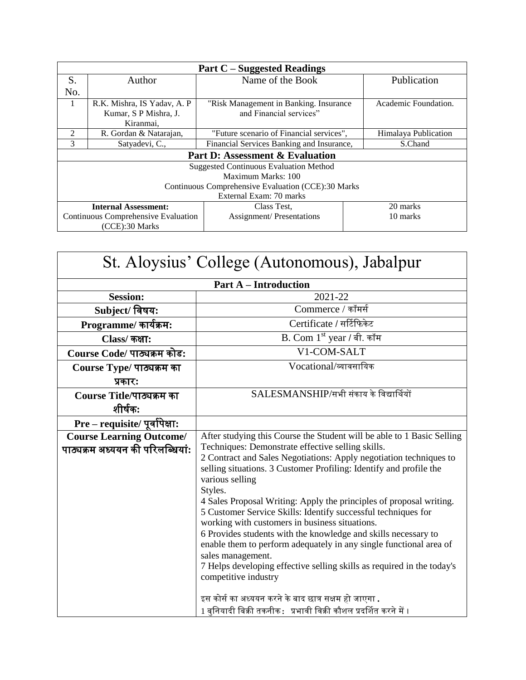| <b>Part C</b> – Suggested Readings                 |                                                        |                                           |                      |  |
|----------------------------------------------------|--------------------------------------------------------|-------------------------------------------|----------------------|--|
| S.                                                 | Author                                                 | Name of the Book                          | Publication          |  |
| No.                                                |                                                        |                                           |                      |  |
|                                                    | R.K. Mishra, IS Yadav, A. P                            | "Risk Management in Banking. Insurance    | Academic Foundation. |  |
|                                                    | Kumar, S P Mishra, J.                                  | and Financial services"                   |                      |  |
|                                                    | Kiranmai.                                              |                                           |                      |  |
| $\mathfrak{D}$                                     | R. Gordan & Natarajan,                                 | "Future scenario of Financial services",  | Himalaya Publication |  |
| 3                                                  | Satyadevi, C.,                                         | Financial Services Banking and Insurance, | S.Chand              |  |
| <b>Part D: Assessment &amp; Evaluation</b>         |                                                        |                                           |                      |  |
| <b>Suggested Continuous Evaluation Method</b>      |                                                        |                                           |                      |  |
|                                                    | Maximum Marks: 100                                     |                                           |                      |  |
| Continuous Comprehensive Evaluation (CCE):30 Marks |                                                        |                                           |                      |  |
| External Exam: 70 marks                            |                                                        |                                           |                      |  |
|                                                    | 20 marks<br><b>Internal Assessment:</b><br>Class Test. |                                           |                      |  |
| Continuous Comprehensive Evaluation                |                                                        | <b>Assignment/Presentations</b>           | 10 marks             |  |
|                                                    | (CCE):30 Marks                                         |                                           |                      |  |

| St. Aloysius' College (Autonomous), Jabalpur                        |                                                                                                                                                                                                                                                                                                                                                                                                                                                                                                                                                                                                                                                                                                                                                                                                                                                                                               |  |  |
|---------------------------------------------------------------------|-----------------------------------------------------------------------------------------------------------------------------------------------------------------------------------------------------------------------------------------------------------------------------------------------------------------------------------------------------------------------------------------------------------------------------------------------------------------------------------------------------------------------------------------------------------------------------------------------------------------------------------------------------------------------------------------------------------------------------------------------------------------------------------------------------------------------------------------------------------------------------------------------|--|--|
| <b>Part A – Introduction</b>                                        |                                                                                                                                                                                                                                                                                                                                                                                                                                                                                                                                                                                                                                                                                                                                                                                                                                                                                               |  |  |
| <b>Session:</b>                                                     | 2021-22                                                                                                                                                                                                                                                                                                                                                                                                                                                                                                                                                                                                                                                                                                                                                                                                                                                                                       |  |  |
| Subject/ विषय:                                                      | Commerce / कॉमर्स                                                                                                                                                                                                                                                                                                                                                                                                                                                                                                                                                                                                                                                                                                                                                                                                                                                                             |  |  |
| Programme/ कार्यक्रम:                                               | Certificate / सर्टिफिकेट                                                                                                                                                                                                                                                                                                                                                                                                                                                                                                                                                                                                                                                                                                                                                                                                                                                                      |  |  |
| Class/ कक्षा:                                                       | B. Com 1st year / बी. कॉम                                                                                                                                                                                                                                                                                                                                                                                                                                                                                                                                                                                                                                                                                                                                                                                                                                                                     |  |  |
| Course Code/ पाठ्यक्रम कोड:                                         | V1-COM-SALT                                                                                                                                                                                                                                                                                                                                                                                                                                                                                                                                                                                                                                                                                                                                                                                                                                                                                   |  |  |
| Course Type/ पाठ्यक्रम का                                           | Vocational/व्यावसायिक                                                                                                                                                                                                                                                                                                                                                                                                                                                                                                                                                                                                                                                                                                                                                                                                                                                                         |  |  |
| प्रकारः                                                             |                                                                                                                                                                                                                                                                                                                                                                                                                                                                                                                                                                                                                                                                                                                                                                                                                                                                                               |  |  |
| Course Title/पाठ्यक्रम का                                           | SALESMANSHIP/सभी संकाय के विद्यार्थियों                                                                                                                                                                                                                                                                                                                                                                                                                                                                                                                                                                                                                                                                                                                                                                                                                                                       |  |  |
| शीर्षक:                                                             |                                                                                                                                                                                                                                                                                                                                                                                                                                                                                                                                                                                                                                                                                                                                                                                                                                                                                               |  |  |
| Pre - requisite/ पूर्वापेक्षा:                                      |                                                                                                                                                                                                                                                                                                                                                                                                                                                                                                                                                                                                                                                                                                                                                                                                                                                                                               |  |  |
| <b>Course Learning Outcome/</b><br>पाठ्यक्रम अध्ययन की परिलब्धियां: | After studying this Course the Student will be able to 1 Basic Selling<br>Techniques: Demonstrate effective selling skills.<br>2 Contract and Sales Negotiations: Apply negotiation techniques to<br>selling situations. 3 Customer Profiling: Identify and profile the<br>various selling<br>Styles.<br>4 Sales Proposal Writing: Apply the principles of proposal writing.<br>5 Customer Service Skills: Identify successful techniques for<br>working with customers in business situations.<br>6 Provides students with the knowledge and skills necessary to<br>enable them to perform adequately in any single functional area of<br>sales management.<br>7 Helps developing effective selling skills as required in the today's<br>competitive industry<br>इस कोर्स का अध्ययन करने के बाद छात्र सक्षम हो जाएगा .<br>1 बुनियादी बिक्री तकनीक : प्रभावी विक्री कौशल प्रदर्शित करने में । |  |  |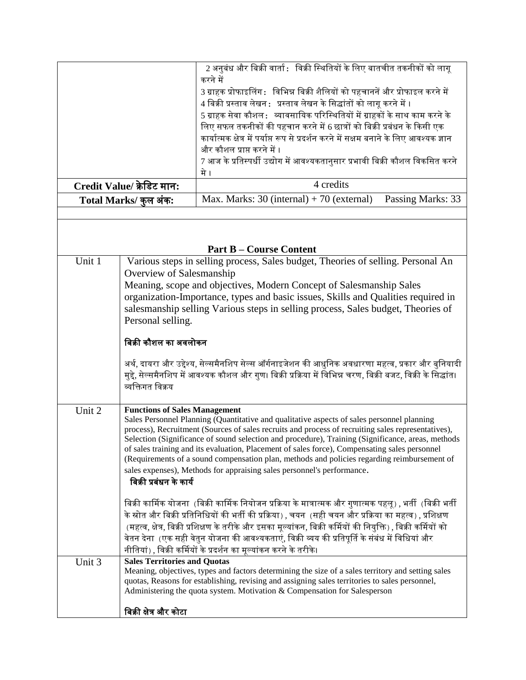|                                                                                                                 |                                                                                                                                                                                                         | 2 अनुबंध और बिक्री वार्ता :   विक्री स्थितियों के लिए बातचीत तकनीकों को लागू                                                                                                                         |  |  |
|-----------------------------------------------------------------------------------------------------------------|---------------------------------------------------------------------------------------------------------------------------------------------------------------------------------------------------------|------------------------------------------------------------------------------------------------------------------------------------------------------------------------------------------------------|--|--|
|                                                                                                                 |                                                                                                                                                                                                         | करने में                                                                                                                                                                                             |  |  |
|                                                                                                                 |                                                                                                                                                                                                         | 3 ग्राहक प्रोफाइलिंग :   विभिन्न बिक्री शैलियों को पहचाननें और प्रोफाइल करने में<br>4 बिक्री प्रस्ताव लेखन : प्रस्ताव लेखन के सिद्धांतों को लागू करने में ।                                          |  |  |
|                                                                                                                 |                                                                                                                                                                                                         | 5 ग्राहक सेवा कौशल : व्यावसायिक परिस्थितियों में ग्राहकों के साथ काम करने के                                                                                                                         |  |  |
|                                                                                                                 |                                                                                                                                                                                                         | लिए सफल तकनीकों की पहचान करने में 6 छात्रों को बिक्री प्रबंधन के किसी एक                                                                                                                             |  |  |
|                                                                                                                 |                                                                                                                                                                                                         | कार्यात्मक क्षेत्र में पर्याप्त रूप से प्रदर्शन करने में सक्षम बनाने के लिए आवश्यक ज्ञान                                                                                                             |  |  |
|                                                                                                                 |                                                                                                                                                                                                         | और कौशल प्राप्त करने में ।                                                                                                                                                                           |  |  |
|                                                                                                                 |                                                                                                                                                                                                         | 7 आज के प्रतिस्पर्धी उद्योग में आवश्यकतानुसार प्रभावी बिक्री कौशल विकसित करने                                                                                                                        |  |  |
|                                                                                                                 |                                                                                                                                                                                                         | मे ।                                                                                                                                                                                                 |  |  |
|                                                                                                                 | Credit Value/ क्रेडिट मान:                                                                                                                                                                              | 4 credits                                                                                                                                                                                            |  |  |
|                                                                                                                 | Total Marks/ कुल अंक:                                                                                                                                                                                   | Max. Marks: $30$ (internal) + 70 (external) Passing Marks: 33                                                                                                                                        |  |  |
|                                                                                                                 |                                                                                                                                                                                                         |                                                                                                                                                                                                      |  |  |
|                                                                                                                 |                                                                                                                                                                                                         |                                                                                                                                                                                                      |  |  |
|                                                                                                                 |                                                                                                                                                                                                         | <b>Part B - Course Content</b>                                                                                                                                                                       |  |  |
| Unit $1$                                                                                                        |                                                                                                                                                                                                         | Various steps in selling process, Sales budget, Theories of selling. Personal An                                                                                                                     |  |  |
|                                                                                                                 | Overview of Salesmanship                                                                                                                                                                                |                                                                                                                                                                                                      |  |  |
|                                                                                                                 |                                                                                                                                                                                                         | Meaning, scope and objectives, Modern Concept of Salesmanship Sales                                                                                                                                  |  |  |
|                                                                                                                 |                                                                                                                                                                                                         | organization-Importance, types and basic issues, Skills and Qualities required in                                                                                                                    |  |  |
|                                                                                                                 |                                                                                                                                                                                                         | salesmanship selling Various steps in selling process, Sales budget, Theories of                                                                                                                     |  |  |
|                                                                                                                 | Personal selling.                                                                                                                                                                                       |                                                                                                                                                                                                      |  |  |
|                                                                                                                 |                                                                                                                                                                                                         |                                                                                                                                                                                                      |  |  |
|                                                                                                                 | बिक्री कौशल का अवलोकन                                                                                                                                                                                   |                                                                                                                                                                                                      |  |  |
|                                                                                                                 | अर्थ, दायरा और उद्देश्य, सेल्समैनशिप सेल्स ऑर्गनाइजेशन की आधुनिक अवधारणा महत्व, प्रकार और बुनियादी                                                                                                      |                                                                                                                                                                                                      |  |  |
|                                                                                                                 | मुद्दे, सेल्समैनशिप में आवश्यक कौशल और गुण। बिक्री प्रक्रिया में विभिन्न चरण, बिक्री बजट, विक्री के सिद्धांत।                                                                                           |                                                                                                                                                                                                      |  |  |
| व्यक्तिगत विक्रय                                                                                                |                                                                                                                                                                                                         |                                                                                                                                                                                                      |  |  |
|                                                                                                                 |                                                                                                                                                                                                         |                                                                                                                                                                                                      |  |  |
| Unit 2                                                                                                          | <b>Functions of Sales Management</b>                                                                                                                                                                    |                                                                                                                                                                                                      |  |  |
| Sales Personnel Planning (Quantitative and qualitative aspects of sales personnel planning                      |                                                                                                                                                                                                         |                                                                                                                                                                                                      |  |  |
|                                                                                                                 | process), Recruitment (Sources of sales recruits and process of recruiting sales representatives),<br>Selection (Significance of sound selection and procedure), Training (Significance, areas, methods |                                                                                                                                                                                                      |  |  |
|                                                                                                                 | of sales training and its evaluation, Placement of sales force), Compensating sales personnel                                                                                                           |                                                                                                                                                                                                      |  |  |
|                                                                                                                 |                                                                                                                                                                                                         | (Requirements of a sound compensation plan, methods and policies regarding reimbursement of                                                                                                          |  |  |
|                                                                                                                 | sales expenses), Methods for appraising sales personnel's performance.                                                                                                                                  |                                                                                                                                                                                                      |  |  |
|                                                                                                                 | बिक्री प्रबंधन के कार्य                                                                                                                                                                                 |                                                                                                                                                                                                      |  |  |
|                                                                                                                 | बिक्री कार्मिक योजना  (बिक्री कार्मिक नियोजन प्रक्रिया के मात्रात्मक और गुणात्मक पहलू) , भर्ती  (बिक्री भर्ती                                                                                           |                                                                                                                                                                                                      |  |  |
|                                                                                                                 | के स्रोत और बिक्री प्रतिनिधियों की भर्ती की प्रक्रिया) , चयन  (सही चयन और प्रक्रिया का महत्व) , प्रशिक्षण                                                                                               |                                                                                                                                                                                                      |  |  |
| (महत्व, क्षेत्र, बिक्री प्रशिक्षण के तरीके और इसका मूल्यांकन, बिक्री कर्मियों की नियुक्ति) , बिक्री कर्मियों को |                                                                                                                                                                                                         |                                                                                                                                                                                                      |  |  |
| वेतन देना  (एक सही वेतुन योजना की आवश्यकताएं, विक्री व्यय की प्रतिपूर्ति के संबंध में विधियां और                |                                                                                                                                                                                                         |                                                                                                                                                                                                      |  |  |
|                                                                                                                 |                                                                                                                                                                                                         | नीतियां) , विक्री कर्मियों के प्रदर्शन का मूल्यांकन करने के तरीके।                                                                                                                                   |  |  |
| Unit 3                                                                                                          | <b>Sales Territories and Quotas</b>                                                                                                                                                                     |                                                                                                                                                                                                      |  |  |
|                                                                                                                 |                                                                                                                                                                                                         | Meaning, objectives, types and factors determining the size of a sales territory and setting sales<br>quotas, Reasons for establishing, revising and assigning sales territories to sales personnel, |  |  |
|                                                                                                                 |                                                                                                                                                                                                         | Administering the quota system. Motivation & Compensation for Salesperson                                                                                                                            |  |  |
|                                                                                                                 |                                                                                                                                                                                                         |                                                                                                                                                                                                      |  |  |
|                                                                                                                 | बिक्री क्षेत्र और कोटा                                                                                                                                                                                  |                                                                                                                                                                                                      |  |  |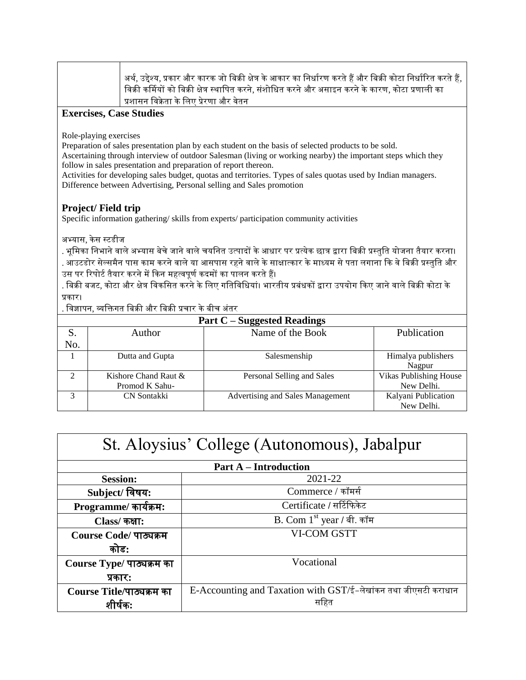अर्थ, उद्देश्य, प्रकार और कारक जो बिक्री क्षेत्र के आकार का निर्धारण करते हैं और बिक्री कोटा निर्धारित करते हैं, विक्री कर्मियों को बिक्री क्षेत्र स्थापित करने, संशोधित करने और असाइन करने के कारण, कोटा प्रणाली का प्रशासन विक्रेता के लिए प्रेरणा और वेतन

## **Exercises, Case Studies**

Role-playing exercises

Preparation of sales presentation plan by each student on the basis of selected products to be sold.

Ascertaining through interview of outdoor Salesman (living or working nearby) the important steps which they follow in sales presentation and preparation of report thereon.

Activities for developing sales budget, quotas and territories. Types of sales quotas used by Indian managers. Difference between Advertising, Personal selling and Sales promotion

## **Project/ Field trip**

Specific information gathering/ skills from experts/ participation community activities

अभ्यास, केस स्टडीज

. भूमिका निभाने वाले अभ्यास बेचे जाने वाले चयनित उत्पादों के आधार पर प्रत्येक छात्र द्वारा बिक्री प्रस्तुति योजना तैयार करना। . आउटडोर सेल्समैन पास काम करने वाले या आसपास रहने वाले के साक्षात्कार के माध्यम से पता लगाना कि वे बिक्री प्रस्तुति और उस पर रिपोर्ट तैयार करने में किन महत्वपूर्ण कदमों का पालन करते हैं।

. बिक्री बजट, कोटा और क्षेत्र विकसित करने के लिए गतिविधियां। भारतीय प्रबंधकों द्वारा उपयोग किए जाने वाले बिक्री कोटा के प्रकार।

. विज्ञापन, व्यक्तिगत बिक्री और बिक्री प्रचार के बीच अंतर

| Part $C$ – Suggested Readings |                      |                                  |                               |  |
|-------------------------------|----------------------|----------------------------------|-------------------------------|--|
| S.                            | Author               | Name of the Book                 | Publication                   |  |
| No.                           |                      |                                  |                               |  |
|                               | Dutta and Gupta      | Salesmenship                     | Himalya publishers            |  |
|                               |                      |                                  | Nagpur                        |  |
| 2                             | Kishore Chand Raut & | Personal Selling and Sales       | <b>Vikas Publishing House</b> |  |
|                               | Promod K Sahu-       |                                  | New Delhi.                    |  |
| 3                             | CN Sontakki          | Advertising and Sales Management | Kalyani Publication           |  |
|                               |                      |                                  | New Delhi.                    |  |

| St. Aloysius' College (Autonomous), Jabalpur |                                                                |  |
|----------------------------------------------|----------------------------------------------------------------|--|
|                                              | <b>Part A – Introduction</b>                                   |  |
| <b>Session:</b>                              | 2021-22                                                        |  |
| Subject/ विषय:                               | Commerce / कॉमर्स                                              |  |
| Programme/ कार्यक्रम:                        | Certificate / सर्टिफिकेट                                       |  |
| Class/ कक्षा:                                | B. Com $1st$ year / बी. कॉम                                    |  |
| Course Code/ पाठ्यक्रम                       | <b>VI-COM GSTT</b>                                             |  |
| कोड:                                         |                                                                |  |
| Course Type/ पाठ्यक्रम का                    | Vocational                                                     |  |
| प्रकारः                                      |                                                                |  |
| Course Title/पाठ्यक्रम का                    | E-Accounting and Taxation with GST/ई-लेखांकन तथा जीएसटी कराधान |  |
| शांषक:                                       | सहित                                                           |  |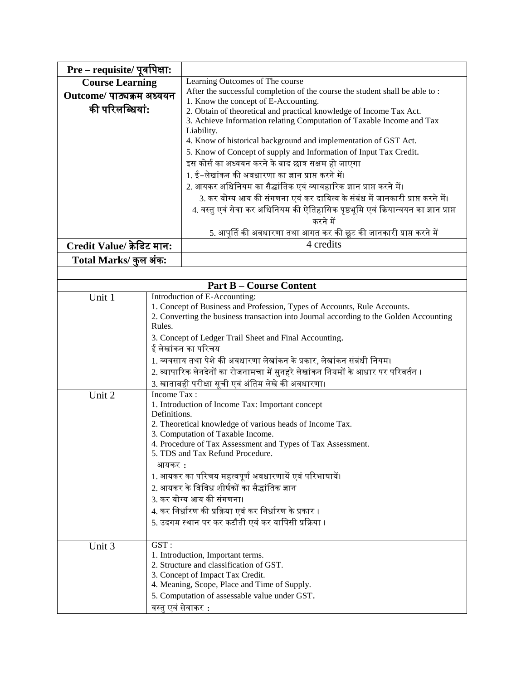| Pre - requisite/ पूर्वापेक्षा:                                            |                                                     |                                                                                        |  |
|---------------------------------------------------------------------------|-----------------------------------------------------|----------------------------------------------------------------------------------------|--|
| <b>Course Learning</b>                                                    |                                                     | Learning Outcomes of The course                                                        |  |
| Outcome/ पाठ्यक्रम अध्ययन                                                 |                                                     | After the successful completion of the course the student shall be able to:            |  |
| की परिलब्धियां:                                                           |                                                     | 1. Know the concept of E-Accounting.                                                   |  |
|                                                                           |                                                     | 2. Obtain of theoretical and practical knowledge of Income Tax Act.                    |  |
|                                                                           |                                                     | 3. Achieve Information relating Computation of Taxable Income and Tax<br>Liability.    |  |
|                                                                           |                                                     | 4. Know of historical background and implementation of GST Act.                        |  |
|                                                                           |                                                     | 5. Know of Concept of supply and Information of Input Tax Credit.                      |  |
|                                                                           |                                                     | इस कोर्स का अध्ययन करने के बाद छात्र सक्षम हो जाएगा                                    |  |
|                                                                           |                                                     | 1. ई–लेखांकन की अवधारणा का ज्ञान प्राप्त करने में।                                     |  |
|                                                                           |                                                     | 2. आयकर अधिनियम का सैद्धांतिक एवं व्यावहारिक ज्ञान प्राप्त करने में।                   |  |
|                                                                           |                                                     | 3. कर योग्य आय की संगणना एवं कर दायित्व के संबंध में जानकारी प्राप्त करने में।         |  |
|                                                                           |                                                     | 4. वस्तु एवं सेवा कर अधिनियम की ऐतिहासिक पृष्ठभूमि एवं क्रियान्वयन का ज्ञान प्राप्त    |  |
|                                                                           |                                                     | करने में                                                                               |  |
|                                                                           |                                                     | 5. आपूर्ति की अवधारणा तथा आगत कर की छूट की जानकारी प्राप्त करने में                    |  |
| Credit Value/ क्रेडिट मान:                                                |                                                     | 4 credits                                                                              |  |
| Total Marks/ कुल अंक:                                                     |                                                     |                                                                                        |  |
|                                                                           |                                                     |                                                                                        |  |
|                                                                           |                                                     | <b>Part B - Course Content</b>                                                         |  |
| Unit 1                                                                    |                                                     | Introduction of E-Accounting:                                                          |  |
|                                                                           |                                                     | 1. Concept of Business and Profession, Types of Accounts, Rule Accounts.               |  |
|                                                                           |                                                     | 2. Converting the business transaction into Journal according to the Golden Accounting |  |
|                                                                           | Rules.                                              |                                                                                        |  |
|                                                                           |                                                     | 3. Concept of Ledger Trail Sheet and Final Accounting.                                 |  |
|                                                                           |                                                     | ई लेखांकन का परिचय                                                                     |  |
|                                                                           |                                                     | 1. व्यवसाय तथा पेशे की अवधारणा लेखांकन के प्रकार, लेखांकन संबंधी नियम।                 |  |
|                                                                           |                                                     | 2. व्यापारिक लेनदेनों का रोजनामचा में सुनहरे लेखांकन नियमों के आधार पर परिवर्तन ।      |  |
|                                                                           |                                                     | 3. खाताबही परीक्षा सूची एवं अंतिम लेखे की अवधारणा।                                     |  |
| Income Tax:<br>Unit 2<br>1. Introduction of Income Tax: Important concept |                                                     |                                                                                        |  |
|                                                                           | Definitions.                                        |                                                                                        |  |
|                                                                           |                                                     | 2. Theoretical knowledge of various heads of Income Tax.                               |  |
|                                                                           |                                                     | 3. Computation of Taxable Income.                                                      |  |
|                                                                           |                                                     | 4. Procedure of Tax Assessment and Types of Tax Assessment.                            |  |
|                                                                           |                                                     | 5. TDS and Tax Refund Procedure.                                                       |  |
|                                                                           | आयकर :                                              |                                                                                        |  |
|                                                                           |                                                     | 1. आयकर का परिचय महत्वपूर्ण अवधारणायें एवं परिभाषायें।                                 |  |
|                                                                           |                                                     | 2. आयकर के विविध शीर्षकों का सैद्धांतिक ज्ञान                                          |  |
|                                                                           |                                                     | 3. कर योग्य आय की संगणना।                                                              |  |
|                                                                           |                                                     | 4. कर निर्धारण की प्रक्रिया एवं कर निर्धारण के प्रकार ।                                |  |
|                                                                           | 5. उदगम स्थान पर कर कटौती एवं कर वापिसी प्रक्रिया । |                                                                                        |  |
|                                                                           | GST:                                                |                                                                                        |  |
| Unit 3                                                                    |                                                     | 1. Introduction, Important terms.                                                      |  |
|                                                                           |                                                     | 2. Structure and classification of GST.                                                |  |
|                                                                           |                                                     | 3. Concept of Impact Tax Credit.                                                       |  |
|                                                                           |                                                     | 4. Meaning, Scope, Place and Time of Supply.                                           |  |
|                                                                           |                                                     | 5. Computation of assessable value under GST.                                          |  |
|                                                                           | वस्तु एवं सेवाकर  :                                 |                                                                                        |  |